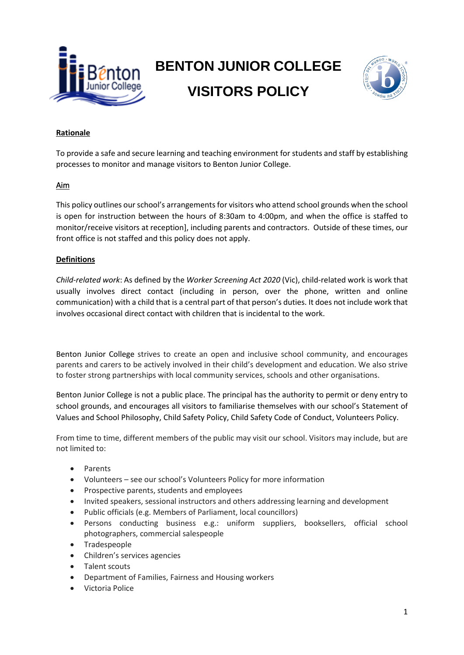

# **BENTON JUNIOR COLLEGE VISITORS POLICY**



## **Rationale**

To provide a safe and secure learning and teaching environment for students and staff by establishing processes to monitor and manage visitors to Benton Junior College.

#### Aim

This policy outlines our school's arrangements for visitors who attend school grounds when the school is open for instruction between the hours of 8:30am to 4:00pm, and when the office is staffed to monitor/receive visitors at reception], including parents and contractors. Outside of these times, our front office is not staffed and this policy does not apply.

#### **Definitions**

*Child-related work*: As defined by the *Worker Screening Act 2020* (Vic), child-related work is work that usually involves direct contact (including in person, over the phone, written and online communication) with a child that is a central part of that person's duties. It does not include work that involves occasional direct contact with children that is incidental to the work.

Benton Junior College strives to create an open and inclusive school community, and encourages parents and carers to be actively involved in their child's development and education. We also strive to foster strong partnerships with local community services, schools and other organisations.

Benton Junior College is not a public place. The principal has the authority to permit or deny entry to school grounds, and encourages all visitors to familiarise themselves with our school's Statement of Values and School Philosophy, Child Safety Policy, Child Safety Code of Conduct, Volunteers Policy.

From time to time, different members of the public may visit our school. Visitors may include, but are not limited to:

- Parents
- Volunteers see our school's Volunteers Policy for more information
- Prospective parents, students and employees
- Invited speakers, sessional instructors and others addressing learning and development
- Public officials (e.g. Members of Parliament, local councillors)
- Persons conducting business e.g.: uniform suppliers, booksellers, official school photographers, commercial salespeople
- Tradespeople
- Children's services agencies
- Talent scouts
- Department of Families, Fairness and Housing workers
- Victoria Police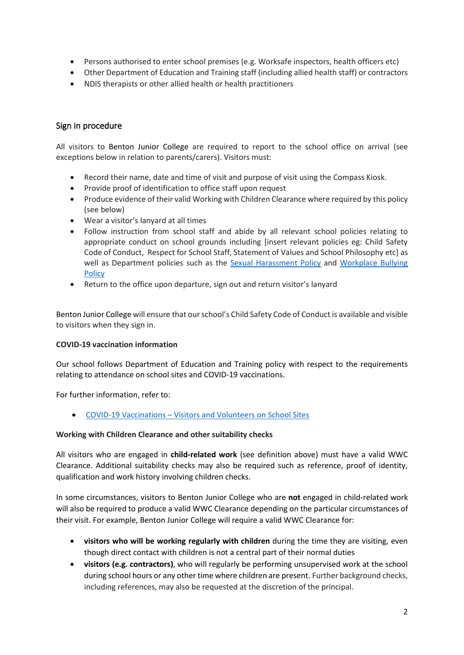- Persons authorised to enter school premises (e.g. Worksafe inspectors, health officers etc)
- Other Department of Education and Training staff (including allied health staff) or contractors
- NDIS therapists or other allied health or health practitioners

## Sign in procedure

All visitors to Benton Junior College are required to report to the school office on arrival (see exceptions below in relation to parents/carers). Visitors must:

- Record their name, date and time of visit and purpose of visit using the Compass Kiosk.
- Provide proof of identification to office staff upon request
- Produce evidence of their valid Working with Children Clearance where required by this policy (see below)
- Wear a visitor's lanyard at all times
- Follow instruction from school staff and abide by all relevant school policies relating to appropriate conduct on school grounds including [insert relevant policies eg: Child Safety Code of Conduct, Respect for School Staff, Statement of Values and School Philosophy etc] as well as Department policies such as the [Sexual Harassment Policy](https://www2.education.vic.gov.au/pal/sexual-harassment/overview) and [Workplace Bullying](https://www2.education.vic.gov.au/pal/workplace-bullying/policy)  **[Policy](https://www2.education.vic.gov.au/pal/workplace-bullying/policy)**
- Return to the office upon departure, sign out and return visitor's lanyard

Benton Junior College will ensure that our school's Child Safety Code of Conduct is available and visible to visitors when they sign in.

#### **COVID-19 vaccination information**

Our school follows Department of Education and Training policy with respect to the requirements relating to attendance on school sites and COVID-19 vaccinations.

For further information, refer to:

• COVID-19 Vaccinations – [Visitors and Volunteers on School Sites](https://www2.education.vic.gov.au/pal/covid-19-vaccinations-visitors-volunteers/policy)

#### **Working with Children Clearance and other suitability checks**

All visitors who are engaged in **child-related work** (see definition above) must have a valid WWC Clearance. Additional suitability checks may also be required such as reference, proof of identity, qualification and work history involving children checks.

In some circumstances, visitors to Benton Junior College who are **not** engaged in child-related work will also be required to produce a valid WWC Clearance depending on the particular circumstances of their visit. For example, Benton Junior College will require a valid WWC Clearance for:

- **visitors who will be working regularly with children** during the time they are visiting, even though direct contact with children is not a central part of their normal duties
- **visitors (e.g. contractors)**, who will regularly be performing unsupervised work at the school during school hours or any other time where children are present. Further background checks, including references, may also be requested at the discretion of the principal.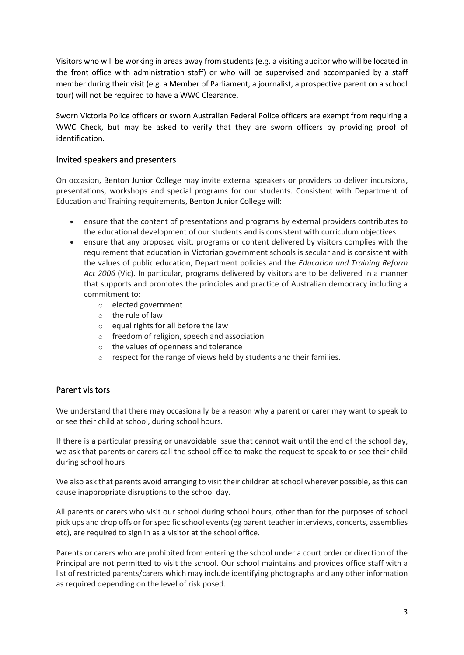Visitors who will be working in areas away from students (e.g. a visiting auditor who will be located in the front office with administration staff) or who will be supervised and accompanied by a staff member during their visit (e.g. a Member of Parliament, a journalist, a prospective parent on a school tour) will not be required to have a WWC Clearance.

Sworn Victoria Police officers or sworn Australian Federal Police officers are exempt from requiring a WWC Check, but may be asked to verify that they are sworn officers by providing proof of identification.

## Invited speakers and presenters

On occasion, Benton Junior College may invite external speakers or providers to deliver incursions, presentations, workshops and special programs for our students. Consistent with Department of Education and Training requirements, Benton Junior College will:

- ensure that the content of presentations and programs by external providers contributes to the educational development of our students and is consistent with curriculum objectives
- ensure that any proposed visit, programs or content delivered by visitors complies with the requirement that education in Victorian government schools is secular and is consistent with the values of public education, Department policies and the *Education and Training Reform Act 2006* (Vic). In particular, programs delivered by visitors are to be delivered in a manner that supports and promotes the principles and practice of Australian democracy including a commitment to:
	- o elected government
	- o the rule of law
	- $\circ$  equal rights for all before the law
	- o freedom of religion, speech and association
	- o the values of openness and tolerance
	- o respect for the range of views held by students and their families.

#### Parent visitors

We understand that there may occasionally be a reason why a parent or carer may want to speak to or see their child at school, during school hours.

If there is a particular pressing or unavoidable issue that cannot wait until the end of the school day, we ask that parents or carers call the school office to make the request to speak to or see their child during school hours.

We also ask that parents avoid arranging to visit their children at school wherever possible, as this can cause inappropriate disruptions to the school day.

All parents or carers who visit our school during school hours, other than for the purposes of school pick ups and drop offs or for specific school events (eg parent teacher interviews, concerts, assemblies etc), are required to sign in as a visitor at the school office.

Parents or carers who are prohibited from entering the school under a court order or direction of the Principal are not permitted to visit the school. Our school maintains and provides office staff with a list of restricted parents/carers which may include identifying photographs and any other information as required depending on the level of risk posed.